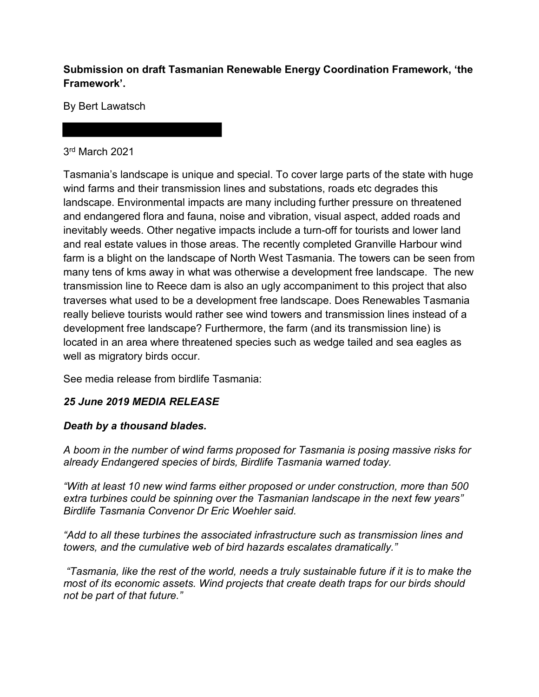### **Submission on draft Tasmanian Renewable Energy Coordination Framework, 'the Framework'.**

By Bert Lawatsch

#### 3rd March 2021

Tasmania's landscape is unique and special. To cover large parts of the state with huge wind farms and their transmission lines and substations, roads etc degrades this landscape. Environmental impacts are many including further pressure on threatened and endangered flora and fauna, noise and vibration, visual aspect, added roads and inevitably weeds. Other negative impacts include a turn-off for tourists and lower land and real estate values in those areas. The recently completed Granville Harbour wind farm is a blight on the landscape of North West Tasmania. The towers can be seen from many tens of kms away in what was otherwise a development free landscape. The new transmission line to Reece dam is also an ugly accompaniment to this project that also traverses what used to be a development free landscape. Does Renewables Tasmania really believe tourists would rather see wind towers and transmission lines instead of a development free landscape? Furthermore, the farm (and its transmission line) is located in an area where threatened species such as wedge tailed and sea eagles as well as migratory birds occur.

See media release from birdlife Tasmania:

# *25 June 2019 MEDIA RELEASE*

# *Death by a thousand blades.*

*A boom in the number of wind farms proposed for Tasmania is posing massive risks for already Endangered species of birds, Birdlife Tasmania warned today.*

*"With at least 10 new wind farms either proposed or under construction, more than 500 extra turbines could be spinning over the Tasmanian landscape in the next few years" Birdlife Tasmania Convenor Dr Eric Woehler said.* 

*"Add to all these turbines the associated infrastructure such as transmission lines and towers, and the cumulative web of bird hazards escalates dramatically."*

*"Tasmania, like the rest of the world, needs a truly sustainable future if it is to make the most of its economic assets. Wind projects that create death traps for our birds should not be part of that future."*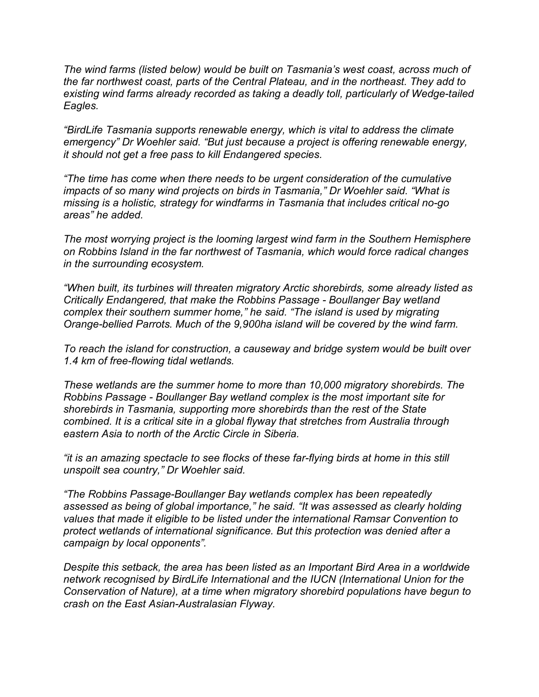*The wind farms (listed below) would be built on Tasmania's west coast, across much of the far northwest coast, parts of the Central Plateau, and in the northeast. They add to existing wind farms already recorded as taking a deadly toll, particularly of Wedge-tailed Eagles.*

*"BirdLife Tasmania supports renewable energy, which is vital to address the climate emergency" Dr Woehler said. "But just because a project is offering renewable energy, it should not get a free pass to kill Endangered species.*

*"The time has come when there needs to be urgent consideration of the cumulative impacts of so many wind projects on birds in Tasmania," Dr Woehler said. "What is missing is a holistic, strategy for windfarms in Tasmania that includes critical no-go areas" he added.* 

*The most worrying project is the looming largest wind farm in the Southern Hemisphere on Robbins Island in the far northwest of Tasmania, which would force radical changes in the surrounding ecosystem.*

*"When built, its turbines will threaten migratory Arctic shorebirds, some already listed as Critically Endangered, that make the Robbins Passage - Boullanger Bay wetland complex their southern summer home," he said. "The island is used by migrating Orange-bellied Parrots. Much of the 9,900ha island will be covered by the wind farm.*

*To reach the island for construction, a causeway and bridge system would be built over 1.4 km of free-flowing tidal wetlands.* 

*These wetlands are the summer home to more than 10,000 migratory shorebirds. The Robbins Passage - Boullanger Bay wetland complex is the most important site for shorebirds in Tasmania, supporting more shorebirds than the rest of the State combined. It is a critical site in a global flyway that stretches from Australia through eastern Asia to north of the Arctic Circle in Siberia.*

*"it is an amazing spectacle to see flocks of these far-flying birds at home in this still unspoilt sea country," Dr Woehler said.*

*"The Robbins Passage-Boullanger Bay wetlands complex has been repeatedly assessed as being of global importance," he said. "It was assessed as clearly holding values that made it eligible to be listed under the international Ramsar Convention to protect wetlands of international significance. But this protection was denied after a campaign by local opponents".*

*Despite this setback, the area has been listed as an Important Bird Area in a worldwide network recognised by BirdLife International and the IUCN (International Union for the Conservation of Nature), at a time when migratory shorebird populations have begun to crash on the East Asian-Australasian Flyway.*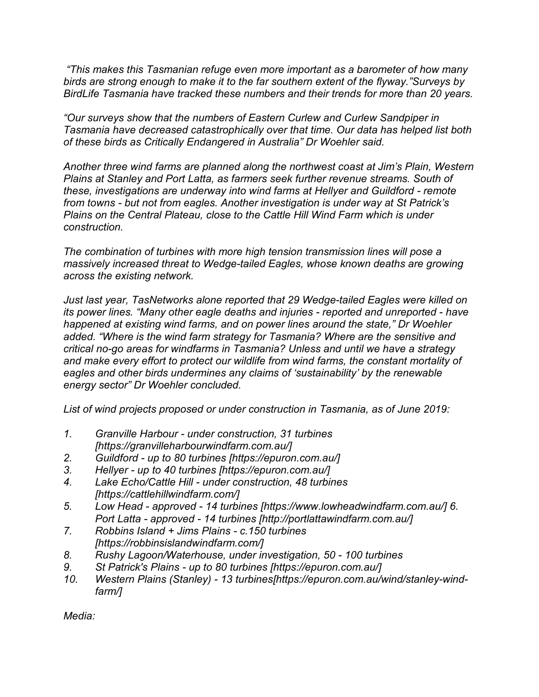*"This makes this Tasmanian refuge even more important as a barometer of how many birds are strong enough to make it to the far southern extent of the flyway."Surveys by BirdLife Tasmania have tracked these numbers and their trends for more than 20 years.*

*"Our surveys show that the numbers of Eastern Curlew and Curlew Sandpiper in Tasmania have decreased catastrophically over that time. Our data has helped list both of these birds as Critically Endangered in Australia" Dr Woehler said.* 

*Another three wind farms are planned along the northwest coast at Jim's Plain, Western Plains at Stanley and Port Latta, as farmers seek further revenue streams. South of these, investigations are underway into wind farms at Hellyer and Guildford - remote from towns - but not from eagles. Another investigation is under way at St Patrick's Plains on the Central Plateau, close to the Cattle Hill Wind Farm which is under construction.* 

*The combination of turbines with more high tension transmission lines will pose a massively increased threat to Wedge-tailed Eagles, whose known deaths are growing across the existing network.* 

*Just last year, TasNetworks alone reported that 29 Wedge-tailed Eagles were killed on its power lines. "Many other eagle deaths and injuries - reported and unreported - have happened at existing wind farms, and on power lines around the state," Dr Woehler added. "Where is the wind farm strategy for Tasmania? Where are the sensitive and critical no-go areas for windfarms in Tasmania? Unless and until we have a strategy and make every effort to protect our wildlife from wind farms, the constant mortality of eagles and other birds undermines any claims of 'sustainability' by the renewable energy sector" Dr Woehler concluded.*

*List of wind projects proposed or under construction in Tasmania, as of June 2019:*

- *1. Granville Harbour under construction, 31 turbines [https://granvilleharbourwindfarm.com.au/]*
- *2. Guildford up to 80 turbines [https://epuron.com.au/]*
- *3. Hellyer up to 40 turbines [https://epuron.com.au/]*
- *4. Lake Echo/Cattle Hill under construction, 48 turbines [https://cattlehillwindfarm.com/]*
- *5. Low Head approved 14 turbines [https://www.lowheadwindfarm.com.au/] 6. Port Latta - approved - 14 turbines [http://portlattawindfarm.com.au/]*
- *7. Robbins Island + Jims Plains c.150 turbines [https://robbinsislandwindfarm.com/]*
- *8. Rushy Lagoon/Waterhouse, under investigation, 50 100 turbines*
- *9. St Patrick's Plains up to 80 turbines [https://epuron.com.au/]*
- *10. Western Plains (Stanley) 13 turbines[https://epuron.com.au/wind/stanley-windfarm/]*

*Media:*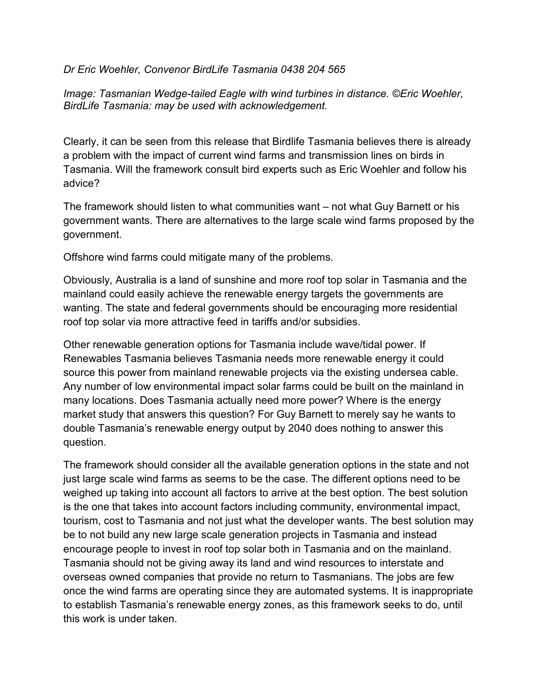#### *Dr Eric Woehler, Convenor BirdLife Tasmania 0438 204 565*

*Image: Tasmanian Wedge-tailed Eagle with wind turbines in distance. ©Eric Woehler, BirdLife Tasmania: may be used with acknowledgement.*

Clearly, it can be seen from this release that Birdlife Tasmania believes there is already a problem with the impact of current wind farms and transmission lines on birds in Tasmania. Will the framework consult bird experts such as Eric Woehler and follow his advice?

The framework should listen to what communities want – not what Guy Barnett or his government wants. There are alternatives to the large scale wind farms proposed by the government.

Offshore wind farms could mitigate many of the problems.

Obviously, Australia is a land of sunshine and more roof top solar in Tasmania and the mainland could easily achieve the renewable energy targets the governments are wanting. The state and federal governments should be encouraging more residential roof top solar via more attractive feed in tariffs and/or subsidies.

Other renewable generation options for Tasmania include wave/tidal power. If Renewables Tasmania believes Tasmania needs more renewable energy it could source this power from mainland renewable projects via the existing undersea cable. Any number of low environmental impact solar farms could be built on the mainland in many locations. Does Tasmania actually need more power? Where is the energy market study that answers this question? For Guy Barnett to merely say he wants to double Tasmania's renewable energy output by 2040 does nothing to answer this question.

The framework should consider all the available generation options in the state and not just large scale wind farms as seems to be the case. The different options need to be weighed up taking into account all factors to arrive at the best option. The best solution is the one that takes into account factors including community, environmental impact, tourism, cost to Tasmania and not just what the developer wants. The best solution may be to not build any new large scale generation projects in Tasmania and instead encourage people to invest in roof top solar both in Tasmania and on the mainland. Tasmania should not be giving away its land and wind resources to interstate and overseas owned companies that provide no return to Tasmanians. The jobs are few once the wind farms are operating since they are automated systems. It is inappropriate to establish Tasmania's renewable energy zones, as this framework seeks to do, until this work is under taken.